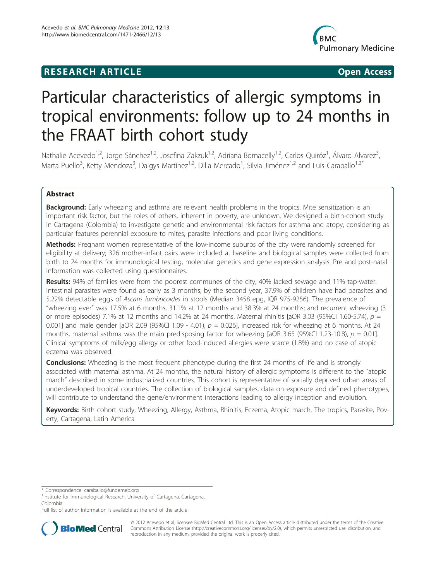# **RESEARCH ARTICLE Example 2018 12:00 Open Access**



# Particular characteristics of allergic symptoms in tropical environments: follow up to 24 months in the FRAAT birth cohort study

Nathalie Acevedo<sup>1,2</sup>, Jorge Sánchez<sup>1,2</sup>, Josefina Zakzuk<sup>1,2</sup>, Adriana Bornacelly<sup>1,2</sup>, Carlos Quiróz<sup>1</sup>, Álvaro Alvarez<sup>3</sup> , Marta Puello<sup>3</sup>, Ketty Mendoza<sup>3</sup>, Dalgys Martínez<sup>1,2</sup>, Dilia Mercado<sup>1</sup>, Silvia Jiménez<sup>1,2</sup> and Luis Caraballo<sup>1,2\*</sup>

# Abstract

**Background:** Early wheezing and asthma are relevant health problems in the tropics. Mite sensitization is an important risk factor, but the roles of others, inherent in poverty, are unknown. We designed a birth-cohort study in Cartagena (Colombia) to investigate genetic and environmental risk factors for asthma and atopy, considering as particular features perennial exposure to mites, parasite infections and poor living conditions.

Methods: Pregnant women representative of the low-income suburbs of the city were randomly screened for eligibility at delivery; 326 mother-infant pairs were included at baseline and biological samples were collected from birth to 24 months for immunological testing, molecular genetics and gene expression analysis. Pre and post-natal information was collected using questionnaires.

Results: 94% of families were from the poorest communes of the city, 40% lacked sewage and 11% tap-water. Intestinal parasites were found as early as 3 months; by the second year, 37.9% of children have had parasites and 5.22% detectable eggs of Ascaris lumbricoides in stools (Median 3458 epg, IQR 975-9256). The prevalence of "wheezing ever" was 17.5% at 6 months, 31.1% at 12 months and 38.3% at 24 months; and recurrent wheezing (3 or more episodes) 7.1% at 12 months and 14.2% at 24 months. Maternal rhinitis [aOR 3.03 (95%Cl 1.60-5.74),  $p =$ 0.001] and male gender [aOR 2.09 (95%CI 1.09 - 4.01),  $p = 0.026$ ], increased risk for wheezing at 6 months. At 24 months, maternal asthma was the main predisposing factor for wheezing [aOR 3.65 (95%CI 1.23-10.8),  $p = 0.01$ ]. Clinical symptoms of milk/egg allergy or other food-induced allergies were scarce (1.8%) and no case of atopic eczema was observed.

**Conclusions:** Wheezing is the most frequent phenotype during the first 24 months of life and is strongly associated with maternal asthma. At 24 months, the natural history of allergic symptoms is different to the "atopic march" described in some industrialized countries. This cohort is representative of socially deprived urban areas of underdeveloped tropical countries. The collection of biological samples, data on exposure and defined phenotypes, will contribute to understand the gene/environment interactions leading to allergy inception and evolution.

Keywords: Birth cohort study, Wheezing, Allergy, Asthma, Rhinitis, Eczema, Atopic march, The tropics, Parasite, Poverty, Cartagena, Latin America

Full list of author information is available at the end of the article



© 2012 Acevedo et al; licensee BioMed Central Ltd. This is an Open Access article distributed under the terms of the Creative Commons Attribution License [\(http://creativecommons.org/licenses/by/2.0](http://creativecommons.org/licenses/by/2.0)), which permits unrestricted use, distribution, and reproduction in any medium, provided the original work is properly cited.

<sup>\*</sup> Correspondence: [caraballo@fundemeb.org](mailto:caraballo@fundemeb.org)

<sup>&</sup>lt;sup>1</sup>Institute for Immunological Research, University of Cartagena, Cartagena, Colombia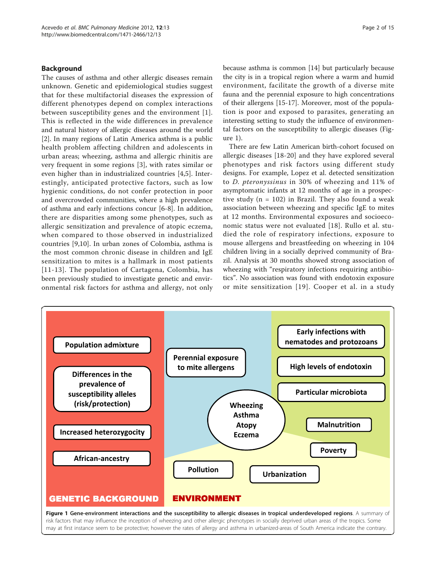## Background

The causes of asthma and other allergic diseases remain unknown. Genetic and epidemiological studies suggest that for these multifactorial diseases the expression of different phenotypes depend on complex interactions between susceptibility genes and the environment [[1\]](#page-12-0). This is reflected in the wide differences in prevalence and natural history of allergic diseases around the world [[2\]](#page-12-0). In many regions of Latin America asthma is a public health problem affecting children and adolescents in urban areas; wheezing, asthma and allergic rhinitis are very frequent in some regions [\[3\]](#page-12-0), with rates similar or even higher than in industrialized countries [[4,5](#page-12-0)]. Interestingly, anticipated protective factors, such as low hygienic conditions, do not confer protection in poor and overcrowded communities, where a high prevalence of asthma and early infections concur [\[6](#page-13-0)-[8\]](#page-13-0). In addition, there are disparities among some phenotypes, such as allergic sensitization and prevalence of atopic eczema, when compared to those observed in industrialized countries [[9,10\]](#page-13-0). In urban zones of Colombia, asthma is the most common chronic disease in children and IgE sensitization to mites is a hallmark in most patients [[11-13\]](#page-13-0). The population of Cartagena, Colombia, has been previously studied to investigate genetic and environmental risk factors for asthma and allergy, not only because asthma is common [\[14](#page-13-0)] but particularly because the city is in a tropical region where a warm and humid environment, facilitate the growth of a diverse mite fauna and the perennial exposure to high concentrations of their allergens [\[15-17](#page-13-0)]. Moreover, most of the population is poor and exposed to parasites, generating an interesting setting to study the influence of environmental factors on the susceptibility to allergic diseases (Figure 1).

There are few Latin American birth-cohort focused on allergic diseases [[18](#page-13-0)-[20\]](#page-13-0) and they have explored several phenotypes and risk factors using different study designs. For example, Lopez et al. detected sensitization to D. pteronyssinus in 30% of wheezing and 11% of asymptomatic infants at 12 months of age in a prospective study ( $n = 102$ ) in Brazil. They also found a weak association between wheezing and specific IgE to mites at 12 months. Environmental exposures and socioeconomic status were not evaluated [[18](#page-13-0)]. Rullo et al. studied the role of respiratory infections, exposure to mouse allergens and breastfeeding on wheezing in 104 children living in a socially deprived community of Brazil. Analysis at 30 months showed strong association of wheezing with "respiratory infections requiring antibiotics". No association was found with endotoxin exposure or mite sensitization [[19](#page-13-0)]. Cooper et al. in a study



risk factors that may influence the inception of wheezing and other allergic phenotypes in socially deprived urban areas of the tropics. Some may at first instance seem to be protective; however the rates of allergy and asthma in urbanized-areas of South America indicate the contrary.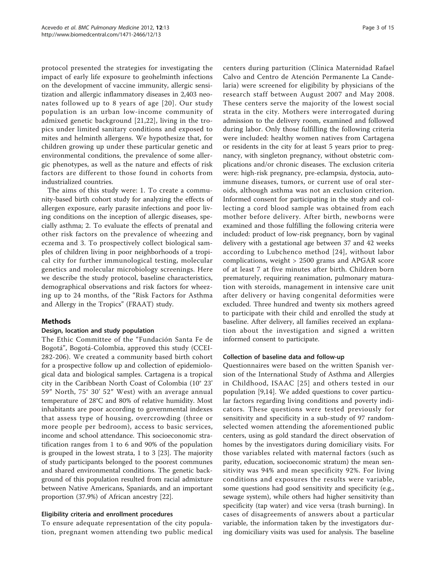protocol presented the strategies for investigating the impact of early life exposure to geohelminth infections on the development of vaccine immunity, allergic sensitization and allergic inflammatory diseases in 2,403 neonates followed up to 8 years of age [[20](#page-13-0)]. Our study population is an urban low-income community of admixed genetic background [[21,22\]](#page-13-0), living in the tropics under limited sanitary conditions and exposed to mites and helminth allergens. We hypothesize that, for children growing up under these particular genetic and environmental conditions, the prevalence of some allergic phenotypes, as well as the nature and effects of risk factors are different to those found in cohorts from industrialized countries.

The aims of this study were: 1. To create a community-based birth cohort study for analyzing the effects of allergen exposure, early parasite infections and poor living conditions on the inception of allergic diseases, specially asthma; 2. To evaluate the effects of prenatal and other risk factors on the prevalence of wheezing and eczema and 3. To prospectively collect biological samples of children living in poor neighborhoods of a tropical city for further immunological testing, molecular genetics and molecular microbiology screenings. Here we describe the study protocol, baseline characteristics, demographical observations and risk factors for wheezing up to 24 months, of the "Risk Factors for Asthma and Allergy in the Tropics" (FRAAT) study.

# Methods

# Design, location and study population

The Ethic Committee of the "Fundación Santa Fe de Bogotá", Bogotá-Colombia, approved this study (CCEI-282-206). We created a community based birth cohort for a prospective follow up and collection of epidemiological data and biological samples. Cartagena is a tropical city in the Caribbean North Coast of Colombia (10° 23' 59″ North, 75° 30' 52″ West) with an average annual temperature of 28°C and 80% of relative humidity. Most inhabitants are poor according to governmental indexes that assess type of housing, overcrowding (three or more people per bedroom), access to basic services, income and school attendance. This socioeconomic stratification ranges from 1 to 6 and 90% of the population is grouped in the lowest strata, 1 to 3 [[23\]](#page-13-0). The majority of study participants belonged to the poorest communes and shared environmental conditions. The genetic background of this population resulted from racial admixture between Native Americans, Spaniards, and an important proportion (37.9%) of African ancestry [\[22](#page-13-0)].

# Eligibility criteria and enrollment procedures

To ensure adequate representation of the city population, pregnant women attending two public medical centers during parturition (Clínica Maternidad Rafael Calvo and Centro de Atención Permanente La Candelaria) were screened for eligibility by physicians of the research staff between August 2007 and May 2008. These centers serve the majority of the lowest social strata in the city. Mothers were interrogated during admission to the delivery room, examined and followed during labor. Only those fulfilling the following criteria were included: healthy women natives from Cartagena or residents in the city for at least 5 years prior to pregnancy, with singleton pregnancy, without obstetric complications and/or chronic diseases. The exclusion criteria were: high-risk pregnancy, pre-eclampsia, dystocia, autoimmune diseases, tumors, or current use of oral steroids, although asthma was not an exclusion criterion. Informed consent for participating in the study and collecting a cord blood sample was obtained from each mother before delivery. After birth, newborns were examined and those fulfilling the following criteria were included: product of low-risk pregnancy, born by vaginal delivery with a gestational age between 37 and 42 weeks according to Lubchenco method [[24](#page-13-0)], without labor complications, weight > 2500 grams and APGAR score of at least 7 at five minutes after birth. Children born prematurely, requiring reanimation, pulmonary maturation with steroids, management in intensive care unit after delivery or having congenital deformities were excluded. Three hundred and twenty six mothers agreed to participate with their child and enrolled the study at baseline. After delivery, all families received an explanation about the investigation and signed a written informed consent to participate.

#### Collection of baseline data and follow-up

Questionnaires were based on the written Spanish version of the International Study of Asthma and Allergies in Childhood, ISAAC [[25](#page-13-0)] and others tested in our population [[9](#page-13-0),[14](#page-13-0)]. We added questions to cover particular factors regarding living conditions and poverty indicators. These questions were tested previously for sensitivity and specificity in a sub-study of 97 randomselected women attending the aforementioned public centers, using as gold standard the direct observation of homes by the investigators during domiciliary visits. For those variables related with maternal factors (such as parity, education, socioeconomic stratum) the mean sensitivity was 94% and mean specificity 92%. For living conditions and exposures the results were variable, some questions had good sensitivity and specificity (e.g., sewage system), while others had higher sensitivity than specificity (tap water) and vice versa (trash burning). In cases of disagreements of answers about a particular variable, the information taken by the investigators during domiciliary visits was used for analysis. The baseline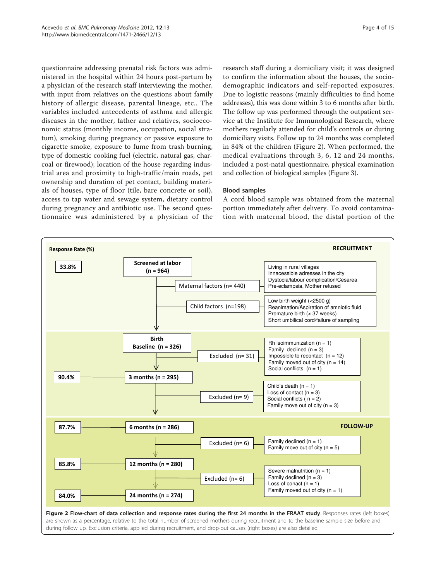<span id="page-3-0"></span>questionnaire addressing prenatal risk factors was administered in the hospital within 24 hours post-partum by a physician of the research staff interviewing the mother, with input from relatives on the questions about family history of allergic disease, parental lineage, etc.. The variables included antecedents of asthma and allergic diseases in the mother, father and relatives, socioeconomic status (monthly income, occupation, social stratum), smoking during pregnancy or passive exposure to cigarette smoke, exposure to fume from trash burning, type of domestic cooking fuel (electric, natural gas, charcoal or firewood); location of the house regarding industrial area and proximity to high-traffic/main roads, pet ownership and duration of pet contact, building materials of houses, type of floor (tile, bare concrete or soil), access to tap water and sewage system, dietary control during pregnancy and antibiotic use. The second questionnaire was administered by a physician of the research staff during a domiciliary visit; it was designed to confirm the information about the houses, the sociodemographic indicators and self-reported exposures. Due to logistic reasons (mainly difficulties to find home addresses), this was done within 3 to 6 months after birth. The follow up was performed through the outpatient service at the Institute for Immunological Research, where mothers regularly attended for child's controls or during domiciliary visits. Follow up to 24 months was completed in 84% of the children (Figure 2). When performed, the medical evaluations through 3, 6, 12 and 24 months, included a post-natal questionnaire, physical examination and collection of biological samples (Figure [3](#page-4-0)).

## Blood samples

A cord blood sample was obtained from the maternal portion immediately after delivery. To avoid contamination with maternal blood, the distal portion of the

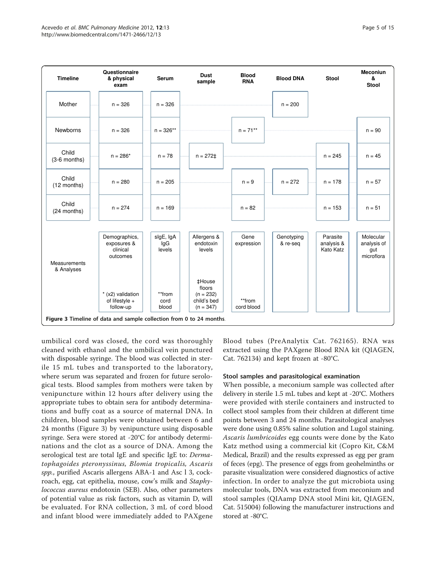<span id="page-4-0"></span>

umbilical cord was closed, the cord was thoroughly cleaned with ethanol and the umbilical vein punctured with disposable syringe. The blood was collected in sterile 15 mL tubes and transported to the laboratory, where serum was separated and frozen for future serological tests. Blood samples from mothers were taken by venipuncture within 12 hours after delivery using the appropriate tubes to obtain sera for antibody determinations and buffy coat as a source of maternal DNA. In children, blood samples were obtained between 6 and 24 months (Figure 3) by venipuncture using disposable syringe. Sera were stored at -20°C for antibody determinations and the clot as a source of DNA. Among the serological test are total IgE and specific IgE to: Dermatophagoides pteronyssinus, Blomia tropicalis, Ascaris spp., purified Ascaris allergens ABA-1 and Asc 13, cockroach, egg, cat epithelia, mouse, cow's milk and Staphylococcus aureus endotoxin (SEB). Also, other parameters of potential value as risk factors, such as vitamin D, will be evaluated. For RNA collection, 3 mL of cord blood and infant blood were immediately added to PAXgene Blood tubes (PreAnalytix Cat. 762165). RNA was extracted using the PAXgene Blood RNA kit (QIAGEN, Cat. 762134) and kept frozen at -80°C.

#### Stool samples and parasitological examination

When possible, a meconium sample was collected after delivery in sterile 1.5 mL tubes and kept at -20°C. Mothers were provided with sterile containers and instructed to collect stool samples from their children at different time points between 3 and 24 months. Parasitological analyses were done using 0.85% saline solution and Lugol staining. Ascaris lumbricoides egg counts were done by the Kato Katz method using a commercial kit (Copro Kit, C&M Medical, Brazil) and the results expressed as egg per gram of feces (epg). The presence of eggs from geohelminths or parasite visualization were considered diagnostics of active infection. In order to analyze the gut microbiota using molecular tools, DNA was extracted from meconium and stool samples (QIAamp DNA stool Mini kit, QIAGEN, Cat. 515004) following the manufacturer instructions and stored at -80°C.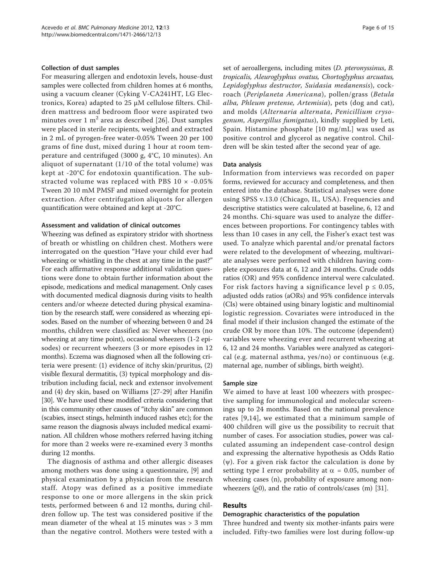#### Collection of dust samples

For measuring allergen and endotoxin levels, house-dust samples were collected from children homes at 6 months, using a vacuum cleaner (Cyking V-CA241HT, LG Electronics, Korea) adapted to 25 μM cellulose filters. Children mattress and bedroom floor were aspirated two minutes over 1  $m<sup>2</sup>$  area as described [[26\]](#page-13-0). Dust samples were placed in sterile recipients, weighted and extracted in 2 mL of pyrogen-free water-0.05% Tween 20 per 100 grams of fine dust, mixed during 1 hour at room temperature and centrifuged (3000 g, 4°C, 10 minutes). An aliquot of supernatant (1/10 of the total volume) was kept at -20°C for endotoxin quantification. The substracted volume was replaced with PBS 10 × -0.05% Tween 20 10 mM PMSF and mixed overnight for protein extraction. After centrifugation aliquots for allergen quantification were obtained and kept at -20°C.

#### Assessment and validation of clinical outcomes

Wheezing was defined as expiratory stridor with shortness of breath or whistling on children chest. Mothers were interrogated on the question "Have your child ever had wheezing or whistling in the chest at any time in the past?" For each affirmative response additional validation questions were done to obtain further information about the episode, medications and medical management. Only cases with documented medical diagnosis during visits to health centers and/or wheeze detected during physical examination by the research staff, were considered as wheezing episodes. Based on the number of wheezing between 0 and 24 months, children were classified as: Never wheezers (no wheezing at any time point), occasional wheezers (1-2 episodes) or recurrent wheezers (3 or more episodes in 12 months). Eczema was diagnosed when all the following criteria were present: (1) evidence of itchy skin/pruritus, (2) visible flexural dermatitis, (3) typical morphology and distribution including facial, neck and extensor involvement and (4) dry skin, based on Williams [[27-29](#page-13-0)] after Hanifin [[30](#page-13-0)]. We have used these modified criteria considering that in this community other causes of "itchy skin" are common (scabies, insect stings, helminth induced rashes etc); for the same reason the diagnosis always included medical examination. All children whose mothers referred having itching for more than 2 weeks were re-examined every 3 months during 12 months.

The diagnosis of asthma and other allergic diseases among mothers was done using a questionnaire, [\[9\]](#page-13-0) and physical examination by a physician from the research staff. Atopy was defined as a positive immediate response to one or more allergens in the skin prick tests, performed between 6 and 12 months, during children follow up. The test was considered positive if the mean diameter of the wheal at 15 minutes was > 3 mm than the negative control. Mothers were tested with a

set of aeroallergens, including mites (D. pteronyssinus, B. tropicalis, Aleuroglyphus ovatus, Chortoglyphus arcuatus, Lepidoglyphus destructor, Suidasia medanensis), cockroach (Periplaneta Americana), pollen/grass (Betula alba, Phleum pretense, Artemisia), pets (dog and cat), and molds (Alternaria alternata, Penicillium crysogenum, Aspergillus fumigatus), kindly supplied by Leti, Spain. Histamine phosphate [10 mg/mL] was used as positive control and glycerol as negative control. Children will be skin tested after the second year of age.

#### Data analysis

Information from interviews was recorded on paper forms, reviewed for accuracy and completeness, and then entered into the database. Statistical analyses were done using SPSS v.13.0 (Chicago, IL, USA). Frequencies and descriptive statistics were calculated at baseline, 6, 12 and 24 months. Chi-square was used to analyze the differences between proportions. For contingency tables with less than 10 cases in any cell, the Fisher's exact test was used. To analyze which parental and/or prenatal factors were related to the development of wheezing, multivariate analyses were performed with children having complete exposures data at 6, 12 and 24 months. Crude odds ratios (OR) and 95% confidence interval were calculated. For risk factors having a significance level  $p \le 0.05$ , adjusted odds ratios (aORs) and 95% confidence intervals (CIs) were obtained using binary logistic and multinomial logistic regression. Covariates were introduced in the final model if their inclusion changed the estimate of the crude OR by more than 10%. The outcome (dependent) variables were wheezing ever and recurrent wheezing at 6, 12 and 24 months. Variables were analyzed as categorical (e.g. maternal asthma, yes/no) or continuous (e.g. maternal age, number of siblings, birth weight).

#### Sample size

We aimed to have at least 100 wheezers with prospective sampling for immunological and molecular screenings up to 24 months. Based on the national prevalence rates [[9,14\]](#page-13-0), we estimated that a minimum sample of 400 children will give us the possibility to recruit that number of cases. For association studies, power was calculated assuming an independent case-control design and expressing the alternative hypothesis as Odds Ratio  $(\psi)$ . For a given risk factor the calculation is done by setting type I error probability at  $\alpha = 0.05$ , number of wheezing cases (n), probability of exposure among nonwheezers ( $\rho$ 0), and the ratio of controls/cases (m) [[31](#page-13-0)].

# Results

#### Demographic characteristics of the population

Three hundred and twenty six mother-infants pairs were included. Fifty-two families were lost during follow-up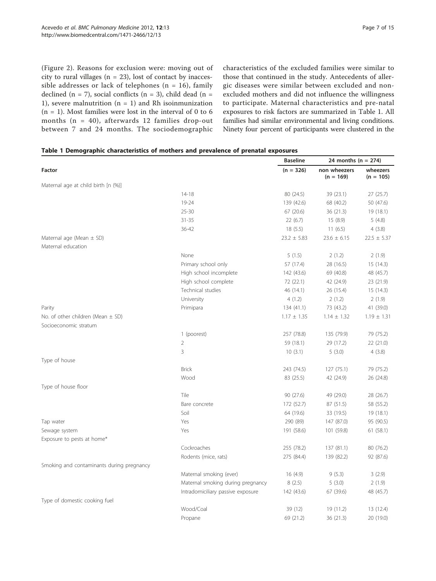<span id="page-6-0"></span>(Figure [2\)](#page-3-0). Reasons for exclusion were: moving out of city to rural villages ( $n = 23$ ), lost of contact by inaccessible addresses or lack of telephones ( $n = 16$ ), family declined (n = 7), social conflicts (n = 3), child dead (n = 1), severe malnutrition  $(n = 1)$  and Rh isoinmunization  $(n = 1)$ . Most families were lost in the interval of 0 to 6 months (n = 40), afterwards 12 families drop-out between 7 and 24 months. The sociodemographic

characteristics of the excluded families were similar to those that continued in the study. Antecedents of allergic diseases were similar between excluded and nonexcluded mothers and did not influence the willingness to participate. Maternal characteristics and pre-natal exposures to risk factors are summarized in Table 1. All families had similar environmental and living conditions. Ninety four percent of participants were clustered in the

#### Table 1 Demographic characteristics of mothers and prevalence of prenatal exposures

|                                           |                                   | <b>Baseline</b> | 24 months ( $n = 274$ )     |                         |
|-------------------------------------------|-----------------------------------|-----------------|-----------------------------|-------------------------|
| Factor                                    |                                   | $(n = 326)$     | non wheezers<br>$(n = 169)$ | wheezers<br>$(n = 105)$ |
| Maternal age at child birth [n (%)]       |                                   |                 |                             |                         |
|                                           | $14 - 18$                         | 80 (24.5)       | 39 (23.1)                   | 27 (25.7)               |
|                                           | 19-24                             | 139 (42.6)      | 68 (40.2)                   | 50 (47.6)               |
|                                           | $25 - 30$                         | 67 (20.6)       | 36 (21.3)                   | 19 (18.1)               |
|                                           | $31 - 35$                         | 22(6.7)         | 15(8.9)                     | 5(4.8)                  |
|                                           | $36 - 42$                         | 18(5.5)         | 11(6.5)                     | 4(3.8)                  |
| Maternal age (Mean $\pm$ SD)              |                                   | $23.2 \pm 5.83$ | $23.6 \pm 6.15$             | $22.5 \pm 5.37$         |
| Maternal education                        |                                   |                 |                             |                         |
|                                           | None                              | 5(1.5)          | 2(1.2)                      | 2(1.9)                  |
|                                           | Primary school only               | 57 (17.4)       | 28 (16.5)                   | 15(14.3)                |
|                                           | High school incomplete            | 142 (43.6)      | 69 (40.8)                   | 48 (45.7)               |
|                                           | High school complete              | 72 (22.1)       | 42 (24.9)                   | 23 (21.9)               |
|                                           | Technical studies                 | 46 (14.1)       | 26 (15.4)                   | 15(14.3)                |
|                                           | University                        | 4(1.2)          | 2(1.2)                      | 2(1.9)                  |
| Parity                                    | Primipara                         | 134(41.1)       | 73 (43.2)                   | 41 (39.0)               |
| No. of other children (Mean $\pm$ SD)     |                                   | $1.17 \pm 1.35$ | $1.14 \pm 1.32$             | $1.19 \pm 1.31$         |
| Socioeconomic stratum                     |                                   |                 |                             |                         |
|                                           | 1 (poorest)                       | 257 (78.8)      | 135 (79.9)                  | 79 (75.2)               |
|                                           | $\overline{2}$                    | 59 (18.1)       | 29 (17.2)                   | 22 (21.0)               |
|                                           | 3                                 | 10(3.1)         | 5(3.0)                      | 4(3.8)                  |
| Type of house                             |                                   |                 |                             |                         |
|                                           | <b>Brick</b>                      | 243 (74.5)      | 127(75.1)                   | 79 (75.2)               |
|                                           | Wood                              | 83 (25.5)       | 42 (24.9)                   | 26 (24.8)               |
| Type of house floor                       |                                   |                 |                             |                         |
|                                           | Tile                              | 90(27.6)        | 49 (29.0)                   | 28 (26.7)               |
|                                           | Bare concrete                     | 172(52.7)       | 87 (51.5)                   | 58 (55.2)               |
|                                           | Soil                              | 64 (19.6)       | 33 (19.5)                   | 19 (18.1)               |
| Tap water                                 | Yes                               | 290 (89)        | 147 (87.0)                  | 95 (90.5)               |
| Sewage system                             | Yes                               | 191 (58.6)      | 101 (59.8)                  | 61 (58.1)               |
| Exposure to pests at home*                |                                   |                 |                             |                         |
|                                           | Cockroaches                       | 255 (78.2)      | 137(81.1)                   | 80 (76.2)               |
|                                           | Rodents (mice, rats)              | 275 (84.4)      | 139 (82.2)                  | 92 (87.6)               |
| Smoking and contaminants during pregnancy |                                   |                 |                             |                         |
|                                           | Maternal smoking (ever)           | 16(4.9)         | 9(5.3)                      | 3(2.9)                  |
|                                           | Maternal smoking during pregnancy | 8(2.5)          | 5(3.0)                      | 2(1.9)                  |
|                                           | Intradomiciliary passive exposure | 142 (43.6)      | 67 (39.6)                   | 48 (45.7)               |
| Type of domestic cooking fuel             |                                   |                 |                             |                         |
|                                           | Wood/Coal                         | 39 (12)         | 19 (11.2)                   | 13 (12.4)               |
|                                           | Propane                           | 69 (21.2)       | 36 (21.3)                   | 20 (19.0)               |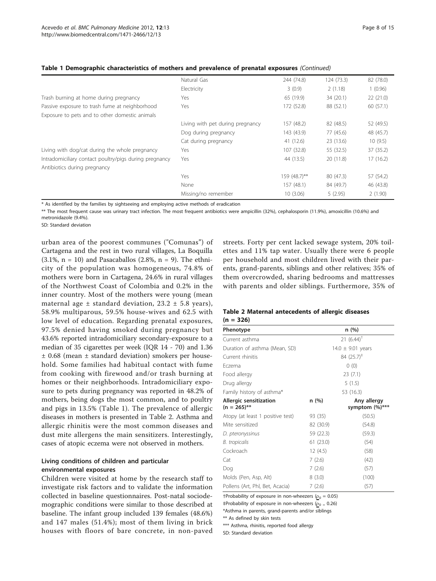|                                                        | Natural Gas                      | 244 (74.8)   | 124(73.3) | 82 (78.0) |
|--------------------------------------------------------|----------------------------------|--------------|-----------|-----------|
|                                                        | Electricity                      | 3(0.9)       | 2(1.18)   | 1(0.96)   |
| Trash burning at home during pregnancy                 | Yes                              | 65 (19.9)    | 34(20.1)  | 22(21.0)  |
| Passive exposure to trash fume at neighborhood         | Yes                              | 172 (52.8)   | 88 (52.1) | 60 (57.1) |
| Exposure to pets and to other domestic animals         |                                  |              |           |           |
|                                                        | Living with pet during pregnancy | 157 (48.2)   | 82 (48.5) | 52 (49.5) |
|                                                        | Dog during pregnancy             | 143 (43.9)   | 77 (45.6) | 48 (45.7) |
|                                                        | Cat during pregnancy             | 41 (12.6)    | 23(13.6)  | 10(9.5)   |
| Living with dog/cat during the whole pregnancy         | Yes                              | 107 (32.8)   | 55 (32.5) | 37 (35.2) |
| Intradomiciliary contact poultry/pigs during pregnancy | Yes                              | 44 (13.5)    | 20 (11.8) | 17(16.2)  |
| Antibiotics during pregnancy                           |                                  |              |           |           |
|                                                        | Yes                              | 159 (48.7)** | 80 (47.3) | 57 (54.2) |
|                                                        | None                             | 157 (48.1)   | 84 (49.7) | 46 (43.8) |
|                                                        | Missing/no remember              | 10(3.06)     | 5(2.95)   | 2(1.90)   |

#### Table 1 Demographic characteristics of mothers and prevalence of prenatal exposures (Continued)

\* As identified by the families by sightseeing and employing active methods of eradication

\*\* The most frequent cause was urinary tract infection. The most frequent antibiotics were ampicillin (32%), cephalosporin (11.9%), amoxicillin (10.6%) and metronidazole (9.4%).

SD: Standard deviation

urban area of the poorest communes ("Comunas") of Cartagena and the rest in two rural villages, La Boquilla (3.1%,  $n = 10$ ) and Pasacaballos (2.8%,  $n = 9$ ). The ethnicity of the population was homogeneous, 74.8% of mothers were born in Cartagena, 24.6% in rural villages of the Northwest Coast of Colombia and 0.2% in the inner country. Most of the mothers were young (mean maternal age  $\pm$  standard deviation, 23.2  $\pm$  5.8 years), 58.9% multiparous, 59.5% house-wives and 62.5 with low level of education. Regarding prenatal exposures, 97.5% denied having smoked during pregnancy but 43.6% reported intradomiciliary secondary-exposure to a median of 35 cigarettes per week (IQR 14 - 70) and 1.36 ± 0.68 (mean ± standard deviation) smokers per household. Some families had habitual contact with fume from cooking with firewood and/or trash burning at homes or their neighborhoods. Intradomiciliary exposure to pets during pregnancy was reported in 48.2% of mothers, being dogs the most common, and to poultry and pigs in 13.5% (Table [1](#page-6-0)). The prevalence of allergic diseases in mothers is presented in Table 2. Asthma and allergic rhinitis were the most common diseases and dust mite allergens the main sensitizers. Interestingly, cases of atopic eczema were not observed in mothers.

## Living conditions of children and particular environmental exposures

Children were visited at home by the research staff to investigate risk factors and to validate the information collected in baseline questionnaires. Post-natal sociodemographic conditions were similar to those described at baseline. The infant group included 139 females (48.6%) and 147 males (51.4%); most of them living in brick houses with floors of bare concrete, in non-paved

streets. Forty per cent lacked sewage system, 20% toilettes and 11% tap water. Usually there were 6 people per household and most children lived with their parents, grand-parents, siblings and other relatives; 35% of them overcrowded, sharing bedrooms and mattresses with parents and older siblings. Furthermore, 35% of

#### Table 2 Maternal antecedents of allergic diseases  $(n - 326)$

| Phenotype                                | n (%)           |                               |  |  |  |
|------------------------------------------|-----------------|-------------------------------|--|--|--|
| Current asthma                           | $21 (6.44)^{+}$ |                               |  |  |  |
| Duration of asthma (Mean, SD)            |                 | $14.0 \pm 9.01$ years         |  |  |  |
| Current rhinitis                         |                 | 84 $(25.7)^*$                 |  |  |  |
| Eczema                                   |                 | 0(0)                          |  |  |  |
| Food allergy                             | 23(7.1)         |                               |  |  |  |
| Drug allergy                             | 5(1.5)          |                               |  |  |  |
| Family history of asthma*                | 53 (16.3)       |                               |  |  |  |
| Allergic sensitization<br>$(n = 265)$ ** | n (%)           | Any allergy<br>symptom (%)*** |  |  |  |
| Atopy (at least 1 positive test)         | 93 (35)         | (50.5)                        |  |  |  |
| Mite sensitized                          | 82 (30.9)       | (54.8)                        |  |  |  |
| D. pteronyssinus                         | 59 (22.3)       | (59.3)                        |  |  |  |
| B. tropicalis                            | 61 (23.0)       | (54)                          |  |  |  |
| Cockroach                                | 12(4.5)         | (58)                          |  |  |  |
| Cat                                      | 7(2.6)          | (42)                          |  |  |  |
| Dog                                      | 7(2.6)          | (57)                          |  |  |  |
| Molds (Pen, Asp, Alt)                    | 8(3.0)          | (100)                         |  |  |  |
| Pollens (Art, Phl, Bet, Acacia)          | 7(2.6)          | (57)                          |  |  |  |

†Probability of exposure in non-wheezers ( $\rho_0 = 0.05$ )

‡Probability of exposure in non-wheezers ( $\rho_0 = 0.26$ )

\*Asthma in parents, grand-parents and/or siblings

\*\* As defined by skin tests

\*\*\* Asthma, rhinitis, reported food allergy

SD: Standard deviation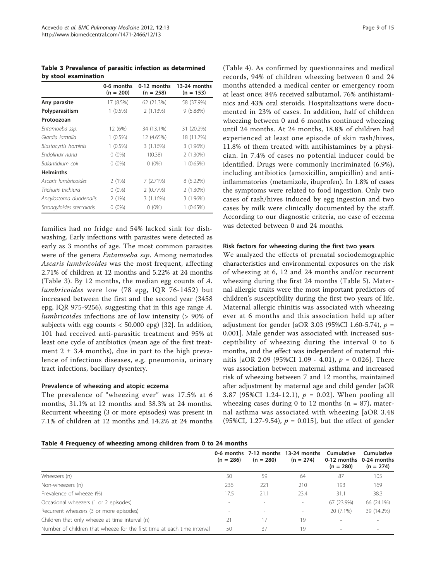Table 3 Prevalence of parasitic infection as determined by stool examination

|                           | 0-6 months<br>$(n = 200)$ | 0-12 months<br>$(n = 258)$ | 13-24 months<br>$(n = 153)$ |
|---------------------------|---------------------------|----------------------------|-----------------------------|
| Any parasite              | 17 (8.5%)                 | 62 (21.3%)                 | 58 (37.9%)                  |
| Polyparasitism            | $1(0.5\%)$                | 2(1.13%)                   | 9 (5.88%)                   |
| Protoozoan                |                           |                            |                             |
| Entamoeba ssp.            | 12 (6%)                   | 34 (13.1%)                 | 31 (20.2%)                  |
| Giardia lamblia           | $1(0.5\%)$                | 12 (4.65%)                 | 18 (11.7%)                  |
| Blastocystis hominis      | $1(0.5\%)$                | 3(1.16%)                   | 3 (1.96%)                   |
| Fndolinax nana            | $0(0\%)$                  | 1(0.38)                    | $2(1.30\%)$                 |
| Balantidium coli          | $0(0\%)$                  | $0(0\%)$                   | 1(0.65%)                    |
| <b>Helminths</b>          |                           |                            |                             |
| Ascaris lumbricoides      | 2(1%)                     | 7(2.71%)                   | 8 (5.22%)                   |
| Trichuris trichiura       | $0(0\%)$                  | 2(0.77%)                   | $2(1.30\%)$                 |
| Ancylostoma duodenalis    | 2(1%)                     | 3(1.16%)                   | 3 (1.96%)                   |
| Strongyloides stercolaris | $0(0\%)$                  | $0(0\%)$                   | 1 (0.65%)                   |

families had no fridge and 54% lacked sink for dishwashing. Early infections with parasites were detected as early as 3 months of age. The most common parasites were of the genera Entamoeba ssp. Among nematodes Ascaris lumbricoides was the most frequent, affecting 2.71% of children at 12 months and 5.22% at 24 months (Table 3). By 12 months, the median egg counts of A. lumbricoides were low (78 epg, IQR 76-1452) but increased between the first and the second year (3458 epg, IQR 975-9256), suggesting that in this age range A. lumbricoides infections are of low intensity (> 90% of subjects with egg counts < 50.000 epg) [\[32\]](#page-13-0). In addition, 101 had received anti-parasitic treatment and 95% at least one cycle of antibiotics (mean age of the first treatment  $2 \pm 3.4$  months), due in part to the high prevalence of infectious diseases, e.g. pneumonia, urinary tract infections, bacillary dysentery.

#### Prevalence of wheezing and atopic eczema

The prevalence of "wheezing ever" was 17.5% at 6 months, 31.1% at 12 months and 38.3% at 24 months. Recurrent wheezing (3 or more episodes) was present in 7.1% of children at 12 months and 14.2% at 24 months

(Table 4). As confirmed by questionnaires and medical records, 94% of children wheezing between 0 and 24 months attended a medical center or emergency room at least once; 84% received salbutamol, 76% antihistaminics and 43% oral steroids. Hospitalizations were documented in 23% of cases. In addition, half of children wheezing between 0 and 6 months continued wheezing until 24 months. At 24 months, 18.8% of children had experienced at least one episode of skin rash/hives, 11.8% of them treated with antihistamines by a physician. In 7.4% of cases no potential inducer could be identified. Drugs were commonly incriminated (6.9%), including antibiotics (amoxicillin, ampicillin) and antiinflammatories (metamizole, ibuprofen). In 1.8% of cases the symptoms were related to food ingestion. Only two cases of rash/hives induced by egg ingestion and two cases by milk were clinically documented by the staff. According to our diagnostic criteria, no case of eczema was detected between 0 and 24 months.

## Risk factors for wheezing during the first two years

We analyzed the effects of prenatal sociodemographic characteristics and environmental exposures on the risk of wheezing at 6, 12 and 24 months and/or recurrent wheezing during the first 24 months (Table [5](#page-9-0)). Maternal-allergic traits were the most important predictors of children's susceptibility during the first two years of life. Maternal allergic rhinitis was associated with wheezing ever at 6 months and this association held up after adjustment for gender [aOR 3.03 (95%CI 1.60-5.74),  $p =$ 0.001]. Male gender was associated with increased susceptibility of wheezing during the interval 0 to 6 months, and the effect was independent of maternal rhinitis [aOR 2.09 (95%CI 1.09 - 4.01),  $p = 0.026$ ]. There was association between maternal asthma and increased risk of wheezing between 7 and 12 months, maintained after adjustment by maternal age and child gender [aOR 3.87 (95%CI 1.24-12.1),  $p = 0.02$ . When pooling all wheezing cases during 0 to 12 months ( $n = 87$ ), maternal asthma was associated with wheezing [aOR 3.48 (95%CI, 1.27-9.54),  $p = 0.015$ , but the effect of gender

| Table 4 Frequency of wheezing among children from 0 to 24 months |  |  |  |  |
|------------------------------------------------------------------|--|--|--|--|
|------------------------------------------------------------------|--|--|--|--|

| $(n = 286)$ | $(n = 280)$              | $(n = 274)$              | Cumulative<br>$(n = 280)$           | Cumulative<br>$(n = 274)$ |
|-------------|--------------------------|--------------------------|-------------------------------------|---------------------------|
| 50          | 59                       | 64                       | 87                                  | 105                       |
| 236         | 221                      | 210                      | 193                                 | 169                       |
| 17.5        | 21.1                     | 23.4                     | 31.1                                | 38.3                      |
|             |                          | $\sim$                   | 67 (23.9%)                          | 66 (24.1%)                |
| $\,$        | $\overline{\phantom{a}}$ | $\overline{\phantom{a}}$ | $20(7.1\%)$                         | 39 (14.2%)                |
| 21          | 17                       | 19                       | $\overline{\phantom{a}}$            |                           |
| 50          | 37                       | 19                       | $\overline{\phantom{a}}$            |                           |
|             |                          |                          | 0-6 months 7-12 months 13-24 months | 0-12 months 0-24 months   |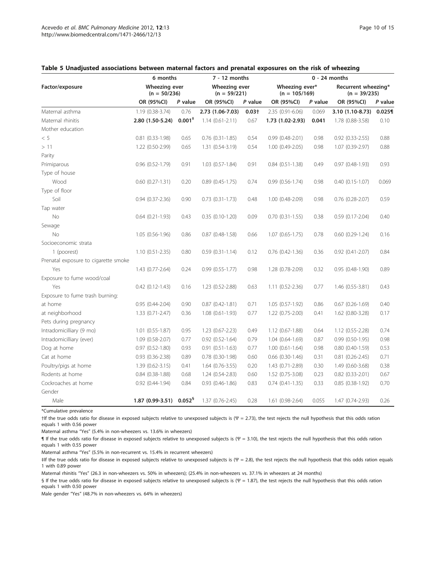|                                      |                                 | 6 months              |                                 | 7 - 12 months |                                   | $0 - 24$ months |                                       |         |
|--------------------------------------|---------------------------------|-----------------------|---------------------------------|---------------|-----------------------------------|-----------------|---------------------------------------|---------|
| Factor/exposure                      | Wheezing ever<br>$(n = 50/236)$ |                       | Wheezing ever<br>$(n = 59/221)$ |               | Wheezing ever*<br>$(n = 105/169)$ |                 | Recurrent wheezing*<br>$(n = 39/235)$ |         |
|                                      | OR (95%CI)                      | P value               | OR (95%CI)                      | P value       | OR (95%CI)                        | P value         | OR (95%CI)                            | P value |
| Maternal asthma                      | 1.19 (0.38-3.74)                | 0.76                  | 2.73 (1.06-7.03)                | $0.03 +$      | 2.35 (0.91-6.06)                  | 0.069           | 3.10 (1.10-8.73)                      | 0.025   |
| Maternal rhinitis                    | 2.80 (1.50-5.24)                | 0.001 <sup>‡</sup>    | $1.14(0.61 - 2.11)$             | 0.67          | 1.73 (1.02-2.93)                  | 0.041           | 1.78 (0.88-3.58)                      | 0.10    |
| Mother education                     |                                 |                       |                                 |               |                                   |                 |                                       |         |
| < 5                                  | $0.81$ $(0.33-1.98)$            | 0.65                  | $0.76$ $(0.31 - 1.85)$          | 0.54          | $0.99$ $(0.48 - 2.01)$            | 0.98            | $0.92$ $(0.33 - 2.55)$                | 0.88    |
| >11                                  | 1.22 (0.50-2.99)                | 0.65                  | 1.31 (0.54-3.19)                | 0.54          | 1.00 (0.49-2.05)                  | 0.98            | 1.07 (0.39-2.97)                      | 0.88    |
| Parity                               |                                 |                       |                                 |               |                                   |                 |                                       |         |
| Primiparous                          | $0.96$ $(0.52 - 1.79)$          | 0.91                  | 1.03 (0.57-1.84)                | 0.91          | $0.84$ $(0.51 - 1.38)$            | 0.49            | $0.97(0.48-1.93)$                     | 0.93    |
| Type of house                        |                                 |                       |                                 |               |                                   |                 |                                       |         |
| Wood                                 | $0.60$ $(0.27 - 1.31)$          | 0.20                  | $0.89$ $(0.45 - 1.75)$          | 0.74          | $0.99$ $(0.56 - 1.74)$            | 0.98            | $0.40(0.15-1.07)$                     | 0.069   |
| Type of floor                        |                                 |                       |                                 |               |                                   |                 |                                       |         |
| Soil                                 | $0.94(0.37 - 2.36)$             | 0.90                  | $0.73$ $(0.31 - 1.73)$          | 0.48          | 1.00 (0.48-2.09)                  | 0.98            | 0.76 (0.28-2.07)                      | 0.59    |
| Tap water                            |                                 |                       |                                 |               |                                   |                 |                                       |         |
| No                                   | $0.64$ $(0.21 - 1.93)$          | 0.43                  | $0.35(0.10-1.20)$               | 0.09          | $0.70(0.31 - 1.55)$               | 0.38            | $0.59(0.17 - 2.04)$                   | 0.40    |
| Sewage                               |                                 |                       |                                 |               |                                   |                 |                                       |         |
| No                                   | 1.05 (0.56-1.96)                | 0.86                  | $0.87$ $(0.48 - 1.58)$          | 0.66          | $1.07(0.65 - 1.75)$               | 0.78            | $0.60$ $(0.29-1.24)$                  | 0.16    |
| Socioeconomic strata                 |                                 |                       |                                 |               |                                   |                 |                                       |         |
| 1 (poorest)                          | $1.10(0.51 - 2.35)$             | 0.80                  | $0.59(0.31-1.14)$               | 0.12          | $0.76$ $(0.42 - 1.36)$            | 0.36            | $0.92(0.41 - 2.07)$                   | 0.84    |
| Prenatal exposure to cigarette smoke |                                 |                       |                                 |               |                                   |                 |                                       |         |
| Yes                                  | 1.43 (0.77-2.64)                | 0.24                  | $0.99(0.55 - 1.77)$             | 0.98          | 1.28 (0.78-2.09)                  | 0.32            | $0.95(0.48-1.90)$                     | 0.89    |
| Exposure to fume wood/coal           |                                 |                       |                                 |               |                                   |                 |                                       |         |
| Yes                                  | $0.42$ $(0.12 - 1.43)$          | 0.16                  | 1.23 (0.52-2.88)                | 0.63          | 1.11 (0.52-2.36)                  | 0.77            | 1.46 (0.55-3.81)                      | 0.43    |
| Exposure to fume trash burning:      |                                 |                       |                                 |               |                                   |                 |                                       |         |
| at home                              | $0.95(0.44 - 2.04)$             | 0.90                  | $0.87$ $(0.42 - 1.81)$          | 0.71          | $1.05(0.57-1.92)$                 | 0.86            | $0.67$ $(0.26 - 1.69)$                | 0.40    |
| at neighborhood                      | $1.33(0.71 - 2.47)$             | 0.36                  | $1.08(0.61-1.93)$               | 0.77          | $1.22(0.75-2.00)$                 | 0.41            | 1.62 (0.80-3.28)                      | 0.17    |
| Pets during pregnancy                |                                 |                       |                                 |               |                                   |                 |                                       |         |
| Intradomicilliary (9 mo)             | $1.01$ $(0.55 - 1.87)$          | 0.95                  | 1.23 (0.67-2.23)                | 0.49          | 1.12 (0.67-1.88)                  | 0.64            | 1.12 (0.55-2.28)                      | 0.74    |
| Intradomicilliary (ever)             | 1.09 (0.58-2.07)                | 0.77                  | $0.92$ $(0.52 - 1.64)$          | 0.79          | $1.04(0.64-1.69)$                 | 0.87            | $0.99(0.50-1.95)$                     | 0.98    |
| Dog at home                          | $0.97$ $(0.52 - 1.80)$          | 0.93                  | $0.91(0.51-1.63)$               | 0.77          | $1.00(0.61 - 1.64)$               | 0.98            | $0.80(0.40-1.59)$                     | 0.53    |
| Cat at home                          | $0.93$ $(0.36 - 2.38)$          | 0.89                  | $0.78$ $(0.30-1.98)$            | 0.60          | $0.66$ $(0.30-1.46)$              | 0.31            | $0.81$ $(0.26 - 2.45)$                | 0.71    |
| Poultry/pigs at home                 | $1.39(0.62 - 3.15)$             | 0.41                  | 1.64 (0.76-3.55)                | 0.20          | 1.43 (0.71-2.89)                  | 0.30            | 1.49 (0.60-3.68)                      | 0.38    |
| Rodents at home                      | $0.84$ $(0.38-1.88)$            | 0.68                  | 1.24 (0.54-2.83)                | 0.60          | 1.52 (0.75-3.08)                  | 0.23            | $0.82$ (0.33-2.01)                    | 0.67    |
| Cockroaches at home                  | 0.92 (0.44-1.94)                | 0.84                  | $0.93$ $(0.46 - 1.86)$          | 0.83          | $0.74$ $(0.41 - 1.35)$            | 0.33            | 0.85 (0.38-1.92)                      | 0.70    |
| Gender                               |                                 |                       |                                 |               |                                   |                 |                                       |         |
| Male                                 | $1.87(0.99-3.51)$               | $0.052^{\frac{6}{5}}$ | $1.37(0.76-2.45)$               | 0.28          | 1.61 (0.98-2.64)                  | 0.055           | 1.47 (0.74-2.93)                      | 0.26    |

#### <span id="page-9-0"></span>Table 5 Unadjusted associations between maternal factors and prenatal exposures on the risk of wheezing

\*Cumulative prevalence

†If the true odds ratio for disease in exposed subjects relative to unexposed subjects is (Ψ = 2.73), the test rejects the null hypothesis that this odds ration equals 1 with 0.56 power

Maternal asthma "Yes" (5.4% in non-wheezers vs. 13.6% in wheezers)

¶ If the true odds ratio for disease in exposed subjects relative to unexposed subjects is (Ψ = 3.10), the test rejects the null hypothesis that this odds ration equals 1 with 0.55 power

Maternal asthma "Yes" (5.5% in non-recurrent vs. 15.4% in recurrent wheezers)

‡If the true odds ratio for disease in exposed subjects relative to unexposed subjects is (Ψ = 2.8), the test rejects the null hypothesis that this odds ration equals 1 with 0.89 power

Maternal rhinitis "Yes" (26.3 in non-wheezers vs. 50% in wheezers); (25.4% in non-wheezers vs. 37.1% in wheezers at 24 months)

§ If the true odds ratio for disease in exposed subjects relative to unexposed subjects is (Ψ = 1.87), the test rejects the null hypothesis that this odds ration equals 1 with 0.50 power

Male gender "Yes" (48.7% in non-wheezers vs. 64% in wheezers)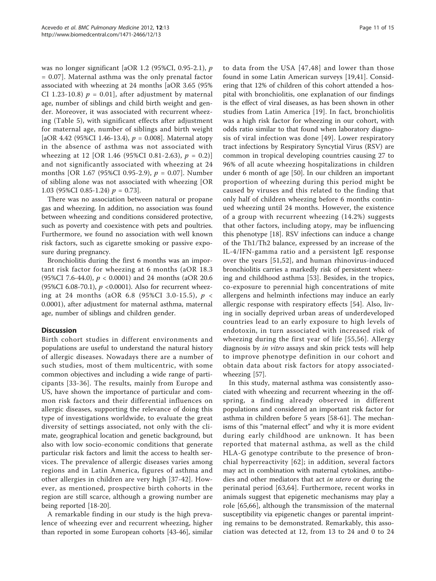was no longer significant [aOR 1.2 (95%CI, 0.95-2.1), p = 0.07]. Maternal asthma was the only prenatal factor associated with wheezing at 24 months [aOR 3.65 (95% CI 1.23-10.8)  $p = 0.01$ , after adjustment by maternal age, number of siblings and child birth weight and gender. Moreover, it was associated with recurrent wheezing (Table [5\)](#page-9-0), with significant effects after adjustment for maternal age, number of siblings and birth weight [aOR 4.42 (95%CI 1.46-13.4),  $p = 0.008$ ]. Maternal atopy in the absence of asthma was not associated with wheezing at 12 [OR 1.46 (95%CI 0.81-2.63),  $p = 0.2$ ] and not significantly associated with wheezing at 24 months [OR 1.67 (95%CI 0.95-2.9),  $p = 0.07$ ]. Number of sibling alone was not associated with wheezing [OR 1.03 (95%CI 0.85-1.24)  $p = 0.73$ .

There was no association between natural or propane gas and wheezing. In addition, no association was found between wheezing and conditions considered protective, such as poverty and coexistence with pets and poultries. Furthermore, we found no association with well known risk factors, such as cigarette smoking or passive exposure during pregnancy.

Bronchiolitis during the first 6 months was an important risk factor for wheezing at 6 months (aOR 18.3  $(95\%CI$  7.6-44.0),  $p < 0.0001$  and 24 months (aOR 20.6) (95%CI 6.08-70.1),  $p \text{ <0.0001}$ ). Also for recurrent wheezing at 24 months (aOR 6.8 (95%CI 3.0-15.5),  $p <$ 0.0001), after adjustment for maternal asthma, maternal age, number of siblings and children gender.

# **Discussion**

Birth cohort studies in different environments and populations are useful to understand the natural history of allergic diseases. Nowadays there are a number of such studies, most of them multicentric, with some common objectives and including a wide range of participants [[33-36\]](#page-13-0). The results, mainly from Europe and US, have shown the importance of particular and common risk factors and their differential influences on allergic diseases, supporting the relevance of doing this type of investigations worldwide, to evaluate the great diversity of settings associated, not only with the climate, geographical location and genetic background, but also with low socio-economic conditions that generate particular risk factors and limit the access to health services. The prevalence of allergic diseases varies among regions and in Latin America, figures of asthma and other allergies in children are very high [[37-42\]](#page-13-0). However, as mentioned, prospective birth cohorts in the region are still scarce, although a growing number are being reported [\[18-20](#page-13-0)].

A remarkable finding in our study is the high prevalence of wheezing ever and recurrent wheezing, higher than reported in some European cohorts [\[43](#page-13-0)-[46](#page-13-0)], similar

to data from the USA [[47](#page-13-0),[48](#page-14-0)] and lower than those found in some Latin American surveys [[19,41\]](#page-13-0). Considering that 12% of children of this cohort attended a hospital with bronchiolitis, one explanation of our findings is the effect of viral diseases, as has been shown in other studies from Latin America [[19](#page-13-0)]. In fact, bronchiolitis was a high risk factor for wheezing in our cohort, with odds ratio similar to that found when laboratory diagnosis of viral infection was done [\[49\]](#page-14-0). Lower respiratory tract infections by Respiratory Syncytial Virus (RSV) are common in tropical developing countries causing 27 to 96% of all acute wheezing hospitalizations in children under 6 month of age [\[50\]](#page-14-0). In our children an important proportion of wheezing during this period might be caused by viruses and this related to the finding that only half of children wheezing before 6 months continued wheezing until 24 months. However, the existence of a group with recurrent wheezing (14.2%) suggests that other factors, including atopy, may be influencing this phenotype [[18\]](#page-13-0). RSV infections can induce a change of the Th1/Th2 balance, expressed by an increase of the IL-4/IFN-gamma ratio and a persistent IgE response over the years [\[51,52](#page-14-0)], and human rhinovirus-induced bronchiolitis carries a markedly risk of persistent wheezing and childhood asthma [[53\]](#page-14-0). Besides, in the tropics, co-exposure to perennial high concentrations of mite allergens and helminth infections may induce an early allergic response with respiratory effects [[54\]](#page-14-0). Also, living in socially deprived urban areas of underdeveloped countries lead to an early exposure to high levels of endotoxin, in turn associated with increased risk of wheezing during the first year of life [[55,56\]](#page-14-0). Allergy diagnosis by in vitro assays and skin prick tests will help to improve phenotype definition in our cohort and obtain data about risk factors for atopy associatedwheezing [[57\]](#page-14-0).

In this study, maternal asthma was consistently associated with wheezing and recurrent wheezing in the offspring, a finding already observed in different populations and considered an important risk factor for asthma in children before 5 years [[58-61](#page-14-0)]. The mechanisms of this "maternal effect" and why it is more evident during early childhood are unknown. It has been reported that maternal asthma, as well as the child HLA-G genotype contribute to the presence of bronchial hyperreactivity [[62\]](#page-14-0); in addition, several factors may act in combination with maternal cytokines, antibodies and other mediators that act *in utero* or during the perinatal period [[63,64\]](#page-14-0). Furthermore, recent works in animals suggest that epigenetic mechanisms may play a role [[65,66](#page-14-0)], although the transmission of the maternal susceptibility via epigenetic changes or parental imprinting remains to be demonstrated. Remarkably, this association was detected at 12, from 13 to 24 and 0 to 24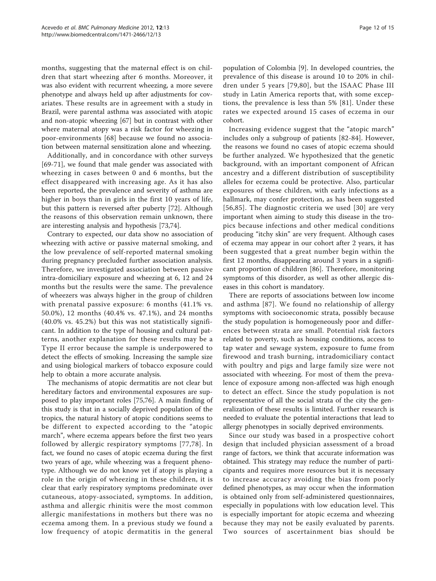months, suggesting that the maternal effect is on children that start wheezing after 6 months. Moreover, it was also evident with recurrent wheezing, a more severe phenotype and always held up after adjustments for covariates. These results are in agreement with a study in Brazil, were parental asthma was associated with atopic and non-atopic wheezing [[67\]](#page-14-0) but in contrast with other where maternal atopy was a risk factor for wheezing in poor-environments [[68\]](#page-14-0) because we found no association between maternal sensitization alone and wheezing.

Additionally, and in concordance with other surveys [[69-71](#page-14-0)], we found that male gender was associated with wheezing in cases between 0 and 6 months, but the effect disappeared with increasing age. As it has also been reported, the prevalence and severity of asthma are higher in boys than in girls in the first 10 years of life, but this pattern is reversed after puberty [\[72\]](#page-14-0). Although the reasons of this observation remain unknown, there are interesting analysis and hypothesis [\[73,74](#page-14-0)].

Contrary to expected, our data show no association of wheezing with active or passive maternal smoking, and the low prevalence of self-reported maternal smoking during pregnancy precluded further association analysis. Therefore, we investigated association between passive intra-domiciliary exposure and wheezing at 6, 12 and 24 months but the results were the same. The prevalence of wheezers was always higher in the group of children with prenatal passive exposure: 6 months (41.1% vs. 50.0%), 12 months (40.4% vs. 47.1%), and 24 months (40.0% vs. 45.2%) but this was not statistically significant. In addition to the type of housing and cultural patterns, another explanation for these results may be a Type II error because the sample is underpowered to detect the effects of smoking. Increasing the sample size and using biological markers of tobacco exposure could help to obtain a more accurate analysis.

The mechanisms of atopic dermatitis are not clear but hereditary factors and environmental exposures are supposed to play important roles [[75,76\]](#page-14-0). A main finding of this study is that in a socially deprived population of the tropics, the natural history of atopic conditions seems to be different to expected according to the "atopic march", where eczema appears before the first two years followed by allergic respiratory symptoms [[77](#page-14-0),[78\]](#page-14-0). In fact, we found no cases of atopic eczema during the first two years of age, while wheezing was a frequent phenotype. Although we do not know yet if atopy is playing a role in the origin of wheezing in these children, it is clear that early respiratory symptoms predominate over cutaneous, atopy-associated, symptoms. In addition, asthma and allergic rhinitis were the most common allergic manifestations in mothers but there was no eczema among them. In a previous study we found a low frequency of atopic dermatitis in the general

population of Colombia [[9\]](#page-13-0). In developed countries, the prevalence of this disease is around 10 to 20% in children under 5 years [[79,80\]](#page-14-0), but the ISAAC Phase III study in Latin America reports that, with some exceptions, the prevalence is less than 5% [\[81](#page-14-0)]. Under these rates we expected around 15 cases of eczema in our cohort.

Increasing evidence suggest that the "atopic march" includes only a subgroup of patients [\[82](#page-14-0)-[84](#page-14-0)]. However, the reasons we found no cases of atopic eczema should be further analyzed. We hypothesized that the genetic background, with an important component of African ancestry and a different distribution of susceptibility alleles for eczema could be protective. Also, particular exposures of these children, with early infections as a hallmark, may confer protection, as has been suggested [[56,85](#page-14-0)]. The diagnostic criteria we used [\[30\]](#page-13-0) are very important when aiming to study this disease in the tropics because infections and other medical conditions producing "itchy skin" are very frequent. Although cases of eczema may appear in our cohort after 2 years, it has been suggested that a great number begin within the first 12 months, disappearing around 3 years in a significant proportion of children [[86](#page-14-0)]. Therefore, monitoring symptoms of this disorder, as well as other allergic diseases in this cohort is mandatory.

There are reports of associations between low income and asthma [[87](#page-14-0)]. We found no relationship of allergy symptoms with socioeconomic strata, possibly because the study population is homogeneously poor and differences between strata are small. Potential risk factors related to poverty, such as housing conditions, access to tap water and sewage system, exposure to fume from firewood and trash burning, intradomiciliary contact with poultry and pigs and large family size were not associated with wheezing. For most of them the prevalence of exposure among non-affected was high enough to detect an effect. Since the study population is not representative of all the social strata of the city the generalization of these results is limited. Further research is needed to evaluate the potential interactions that lead to allergy phenotypes in socially deprived environments.

Since our study was based in a prospective cohort design that included physician assessment of a broad range of factors, we think that accurate information was obtained. This strategy may reduce the number of participants and requires more resources but it is necessary to increase accuracy avoiding the bias from poorly defined phenotypes, as may occur when the information is obtained only from self-administered questionnaires, especially in populations with low education level. This is especially important for atopic eczema and wheezing because they may not be easily evaluated by parents. Two sources of ascertainment bias should be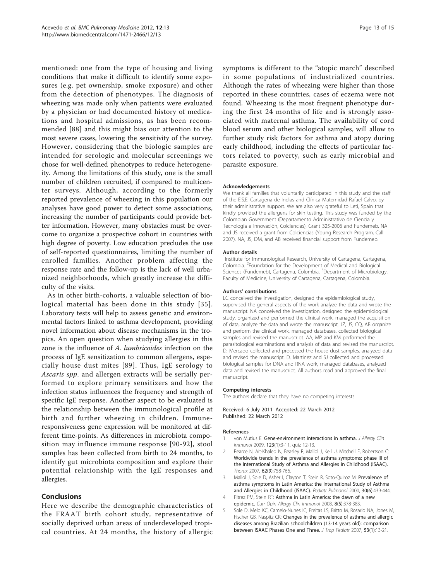<span id="page-12-0"></span>mentioned: one from the type of housing and living conditions that make it difficult to identify some exposures (e.g. pet ownership, smoke exposure) and other from the detection of phenotypes. The diagnosis of wheezing was made only when patients were evaluated by a physician or had documented history of medications and hospital admissions, as has been recommended [[88](#page-14-0)] and this might bias our attention to the most severe cases, lowering the sensitivity of the survey. However, considering that the biologic samples are intended for serologic and molecular screenings we chose for well-defined phenotypes to reduce heterogeneity. Among the limitations of this study, one is the small number of children recruited, if compared to multicenter surveys. Although, according to the formerly reported prevalence of wheezing in this population our analyses have good power to detect some associations, increasing the number of participants could provide better information. However, many obstacles must be overcome to organize a prospective cohort in countries with high degree of poverty. Low education precludes the use of self-reported questionnaires, limiting the number of enrolled families. Another problem affecting the response rate and the follow-up is the lack of well urbanized neighborhoods, which greatly increase the difficulty of the visits.

As in other birth-cohorts, a valuable selection of biological material has been done in this study [[35\]](#page-13-0). Laboratory tests will help to assess genetic and environmental factors linked to asthma development, providing novel information about disease mechanisms in the tropics. An open question when studying allergies in this zone is the influence of A. lumbricoides infection on the process of IgE sensitization to common allergens, especially house dust mites [[89](#page-14-0)]. Thus, IgE serology to Ascaris spp. and allergen extracts will be serially performed to explore primary sensitizers and how the infection status influences the frequency and strength of specific IgE response. Another aspect to be evaluated is the relationship between the immunological profile at birth and further wheezing in children. Immuneresponsiveness gene expression will be monitored at different time-points. As differences in microbiota composition may influence immune response [[90-92\]](#page-14-0), stool samples has been collected from birth to 24 months, to identify gut microbiota composition and explore their potential relationship with the IgE responses and allergies.

# Conclusions

Here we describe the demographic characteristics of the FRAAT birth cohort study, representative of socially deprived urban areas of underdeveloped tropical countries. At 24 months, the history of allergic symptoms is different to the "atopic march" described in some populations of industrialized countries. Although the rates of wheezing were higher than those reported in these countries, cases of eczema were not found. Wheezing is the most frequent phenotype during the first 24 months of life and is strongly associated with maternal asthma. The availability of cord blood serum and other biological samples, will allow to further study risk factors for asthma and atopy during early childhood, including the effects of particular factors related to poverty, such as early microbial and parasite exposure.

#### Acknowledgements

We thank all families that voluntarily participated in this study and the staff of the E.S.E. Cartagena de Indias and Clínica Maternidad Rafael Calvo, by their administrative support. We are also very grateful to Leti, Spain that kindly provided the allergens for skin testing. This study was funded by the Colombian Government (Departamento Administrativo de Ciencia y Tecnología e Innovación, Colciencias), Grant 325-2006 and Fundemeb. NA and JS received a grant from Colciencias (Young Research Program, Call 2007). NA, JS, DM, and AB received financial support from Fundemeb.

#### Author details

<sup>1</sup>Institute for Immunological Research, University of Cartagena, Cartagena Colombia. <sup>2</sup> Foundation for the Development of Medical and Biological Sciences (Fundemeb), Cartagena, Colombia. <sup>3</sup>Department of Microbiology, Faculty of Medicine, University of Cartagena, Cartagena, Colombia.

#### Authors' contributions

LC conceived the investigation, designed the epidemiological study, supervised the general aspects of the work analyze the data and wrote the manuscript. NA conceived the investigation, designed the epidemiological study, organized and performed the clinical work, managed the acquisition of data, analyze the data and wrote the manuscript. JZ, JS, CQ, AB organize and perform the clinical work, managed databases, collected biological samples and revised the manuscript. AA, MP and KM performed the parasitological examinations and analysis of data and revised the manuscript. D. Mercado collected and processed the house dust samples, analyzed data and revised the manuscript. D. Martinez and SJ collected and processed biological samples for DNA and RNA work, managed databases, analyzed data and revised the manuscript. All authors read and approved the final manuscript.

#### Competing interests

The authors declare that they have no competing interests.

Received: 6 July 2011 Accepted: 22 March 2012 Published: 22 March 2012

#### References

- 1. von Mutius E: [Gene-environment interactions in asthma.](http://www.ncbi.nlm.nih.gov/pubmed/19130922?dopt=Abstract) J Allergy Clin Immunol 2009, 123(1):3-11, quiz 12-13.
- Pearce N, Ait-Khaled N, Beasley R, Mallol J, Keil U, Mitchell E, Robertson C: [Worldwide trends in the prevalence of asthma symptoms: phase III of](http://www.ncbi.nlm.nih.gov/pubmed/17504817?dopt=Abstract) [the International Study of Asthma and Allergies in Childhood \(ISAAC\).](http://www.ncbi.nlm.nih.gov/pubmed/17504817?dopt=Abstract) Thorax 2007, 62(9):758-766.
- 3. Mallol J, Sole D, Asher I, Clayton T, Stein R, Soto-Quiroz M: [Prevalence of](http://www.ncbi.nlm.nih.gov/pubmed/11109054?dopt=Abstract) [asthma symptoms in Latin America: the International Study of Asthma](http://www.ncbi.nlm.nih.gov/pubmed/11109054?dopt=Abstract) [and Allergies in Childhood \(ISAAC\).](http://www.ncbi.nlm.nih.gov/pubmed/11109054?dopt=Abstract) Pediatr Pulmonol 2000, 30(6):439-444.
- 4. Pitrez PM, Stein RT: [Asthma in Latin America: the dawn of a new](http://www.ncbi.nlm.nih.gov/pubmed/18769188?dopt=Abstract) [epidemic.](http://www.ncbi.nlm.nih.gov/pubmed/18769188?dopt=Abstract) Curr Opin Allergy Clin Immunol 2008, 8(5):378-383.
- 5. Sole D, Melo KC, Camelo-Nunes IC, Freitas LS, Britto M, Rosario NA, Jones M, Fischer GB, Naspitz CK: [Changes in the prevalence of asthma and allergic](http://www.ncbi.nlm.nih.gov/pubmed/17012440?dopt=Abstract) [diseases among Brazilian schoolchildren \(13-14 years old\): comparison](http://www.ncbi.nlm.nih.gov/pubmed/17012440?dopt=Abstract) [between ISAAC Phases One and Three.](http://www.ncbi.nlm.nih.gov/pubmed/17012440?dopt=Abstract) J Trop Pediatr 2007, 53(1):13-21.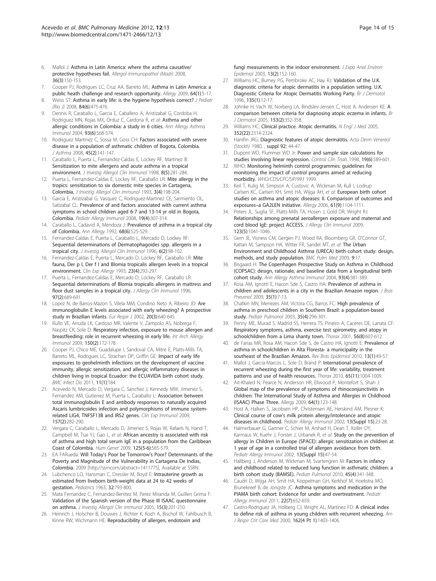- <span id="page-13-0"></span>6. Mallol J: Asthma in Latin America: where the asthma causative/ protective hypotheses fail. Allergol Immunopathol (Madr) 2008, 36(3):150-153.
- 7. Cooper PJ, Rodrigues LC, Cruz AA, Barreto ML: [Asthma in Latin America: a](http://www.ncbi.nlm.nih.gov/pubmed/19076533?dopt=Abstract) [public heath challenge and research opportunity.](http://www.ncbi.nlm.nih.gov/pubmed/19076533?dopt=Abstract) Allergy 2009, 64(1):5-17.
- 8. Weiss ST: Asthma in early life: is the hygiene hypothesis correct? J Pediatr (Rio J) 2008, 84(6):475-476.
- 9. Dennis R, Caraballo L, Garcia E, Caballero A, Aristizabal G, Cordoba H, Rodriguez MN, Rojas MX, Orduz C, Cardona R, et al: [Asthma and other](http://www.ncbi.nlm.nih.gov/pubmed/15609767?dopt=Abstract) [allergic conditions in Colombia: a study in 6 cities.](http://www.ncbi.nlm.nih.gov/pubmed/15609767?dopt=Abstract) Ann Allergy Asthma Immunol 2004, 93(6):568-574.
- 10. Rodriguez Martinez C, Sossa M, Goss CH: [Factors associated with severe](http://www.ncbi.nlm.nih.gov/pubmed/18350406?dopt=Abstract) [disease in a population of asthmatic children of Bogota, Colombia.](http://www.ncbi.nlm.nih.gov/pubmed/18350406?dopt=Abstract) J Asthma 2008, 45(2):141-147.
- 11. Caraballo L, Puerta L, Fernandez-Caldas E, Lockey RF, Martinez B: [Sensitization to mite allergens and acute asthma in a tropical](http://www.ncbi.nlm.nih.gov/pubmed/9827423?dopt=Abstract) [environment.](http://www.ncbi.nlm.nih.gov/pubmed/9827423?dopt=Abstract) J Investig Allergol Clin Immunol 1998, 8(5):281-284.
- 12. Puerta L, Fernandez-Caldas E, Lockey RF, Caraballo LR: [Mite allergy in the](http://www.ncbi.nlm.nih.gov/pubmed/8281353?dopt=Abstract) [tropics: sensitization to six domestic mite species in Cartagena,](http://www.ncbi.nlm.nih.gov/pubmed/8281353?dopt=Abstract) [Colombia.](http://www.ncbi.nlm.nih.gov/pubmed/8281353?dopt=Abstract) J Investig Allergol Clin Immunol 1993, 3(4):198-204.
- 13. Garcia E, Aristizabal G, Vasquez C, Rodriguez-Martinez CE, Sarmiento OL, Satizabal CL: [Prevalence of and factors associated with current asthma](http://www.ncbi.nlm.nih.gov/pubmed/18208464?dopt=Abstract) [symptoms in school children aged 6-7 and 13-14 yr old in Bogota,](http://www.ncbi.nlm.nih.gov/pubmed/18208464?dopt=Abstract) [Colombia.](http://www.ncbi.nlm.nih.gov/pubmed/18208464?dopt=Abstract) Pediatr Allergy Immunol 2008, 19(4):307-314.
- 14. Caraballo L, Cadavid A, Mendoza J: [Prevalence of asthma in a tropical city](http://www.ncbi.nlm.nih.gov/pubmed/1610029?dopt=Abstract) [of Colombia.](http://www.ncbi.nlm.nih.gov/pubmed/1610029?dopt=Abstract) Ann Allergy 1992, 68(6):525-529.
- 15. Fernandez-Caldas E, Puerta L, Caraballo L, Mercado D, Lockey RF: [Sequential determinations of Dermatophagoides spp. allergens in a](http://www.ncbi.nlm.nih.gov/pubmed/8727266?dopt=Abstract) [tropical city.](http://www.ncbi.nlm.nih.gov/pubmed/8727266?dopt=Abstract) J Investig Allergol Clin Immunol 1996, 6(2):98-102.
- 16. Fernandez-Caldas E, Puerta L, Mercado D, Lockey RF, Caraballo LR: [Mite](http://www.ncbi.nlm.nih.gov/pubmed/8319126?dopt=Abstract) [fauna, Der p I, Der f I and Blomia tropicalis allergen levels in a tropical](http://www.ncbi.nlm.nih.gov/pubmed/8319126?dopt=Abstract) [environment.](http://www.ncbi.nlm.nih.gov/pubmed/8319126?dopt=Abstract) Clin Exp Allergy 1993, 23(4):292-297.
- 17. Puerta L, Fernandez-Caldas E, Mercado D, Lockey RF, Caraballo LR: [Sequential determinations of Blomia tropicalis allergens in mattress and](http://www.ncbi.nlm.nih.gov/pubmed/8621855?dopt=Abstract) [floor dust samples in a tropical city.](http://www.ncbi.nlm.nih.gov/pubmed/8621855?dopt=Abstract) J Allergy Clin Immunol 1996, 97(2):689-691.
- 18. Lopez N, de Barros-Mazon S, Vilela MM, Condino Neto A, Ribeiro JD: [Are](http://www.ncbi.nlm.nih.gov/pubmed/12358341?dopt=Abstract) [immunoglobulin E levels associated with early wheezing? A prospective](http://www.ncbi.nlm.nih.gov/pubmed/12358341?dopt=Abstract) [study in Brazilian infants.](http://www.ncbi.nlm.nih.gov/pubmed/12358341?dopt=Abstract) Eur Respir J 2002, 20(3):640-645.
- 19. Rullo VE, Arruda LK, Cardoso MR, Valente V, Zampolo AS, Nobrega F, Naspitz CK, Sole D: [Respiratory infection, exposure to mouse allergen and](http://www.ncbi.nlm.nih.gov/pubmed/19439983?dopt=Abstract) [breastfeeding: role in recurrent wheezing in early life.](http://www.ncbi.nlm.nih.gov/pubmed/19439983?dopt=Abstract) Int Arch Allergy Immunol 2009, 150(2):172-178.
- 20. Cooper PJ, Chico ME, Guadalupe I, Sandoval CA, Mitre E, Platts-Mills TA, Barreto ML, Rodrigues LC, Strachan DP, Griffin GE: [Impact of early life](http://www.ncbi.nlm.nih.gov/pubmed/21714922?dopt=Abstract) [exposures to geohelminth infections on the development of vaccine](http://www.ncbi.nlm.nih.gov/pubmed/21714922?dopt=Abstract) [immunity, allergic sensitization, and allergic inflammatory diseases in](http://www.ncbi.nlm.nih.gov/pubmed/21714922?dopt=Abstract) [children living in tropical Ecuador: the ECUAVIDA birth cohort study.](http://www.ncbi.nlm.nih.gov/pubmed/21714922?dopt=Abstract) BMC Infect Dis 2011, 11(1):184.
- 21. Acevedo N, Mercado D, Vergara C, Sanchez J, Kennedy MW, Jimenez S, Fernandez AM, Gutierrez M, Puerta L, Caraballo L: [Association between](http://www.ncbi.nlm.nih.gov/pubmed/19604268?dopt=Abstract) [total immunoglobulin E and antibody responses to naturally acquired](http://www.ncbi.nlm.nih.gov/pubmed/19604268?dopt=Abstract) [Ascaris lumbricoides infection and polymorphisms of immune system](http://www.ncbi.nlm.nih.gov/pubmed/19604268?dopt=Abstract)[related LIG4, TNFSF13B and IRS2 genes.](http://www.ncbi.nlm.nih.gov/pubmed/19604268?dopt=Abstract) Clin Exp Immunol 2009, 157(2):282-290.
- 22. Vergara C, Caraballo L, Mercado D, Jimenez S, Rojas W, Rafaels N, Hand T, Campbell M, Tsai YJ, Gao L, et al: [African ancestry is associated with risk](http://www.ncbi.nlm.nih.gov/pubmed/19290544?dopt=Abstract) [of asthma and high total serum IgE in a population from the Caribbean](http://www.ncbi.nlm.nih.gov/pubmed/19290544?dopt=Abstract) [Coast of Colombia.](http://www.ncbi.nlm.nih.gov/pubmed/19290544?dopt=Abstract) Hum Genet 2009, 125(5-6):565-579.
- 23. EA FARueda: Will Today's Poor be Tomorrow's Poor? Determinants of the Poverty and Magnitude of the Vulnerability in Cartagena De Indias, Colombia. 2009 [[http://ssrncom/abstract=1411775\]](http://ssrncom/abstract=1411775), Available at SSRN.
- 24. Lubchenco LO, Hansman C, Dressler M, Boyd E: [Intrauterine growth as](http://www.ncbi.nlm.nih.gov/pubmed/14075621?dopt=Abstract) [estimated from liveborn birth-weight data at 24 to 42 weeks of](http://www.ncbi.nlm.nih.gov/pubmed/14075621?dopt=Abstract) [gestation.](http://www.ncbi.nlm.nih.gov/pubmed/14075621?dopt=Abstract) Pediatrics 1963, 32:793-800.
- 25. Mata Fernandez C, Fernandez-Benitez M, Perez Miranda M, Guillen Grima F: [Validation of the Spanish version of the Phase III ISAAC questionnaire](http://www.ncbi.nlm.nih.gov/pubmed/16261957?dopt=Abstract) [on asthma.](http://www.ncbi.nlm.nih.gov/pubmed/16261957?dopt=Abstract) J Investig Allergol Clin Immunol 2005, 15(3):201-210.
- 26. Heinrich J, Holscher B, Douwes J, Richter K, Koch A, Bischof W, Fahlbusch B, Kinne RW, Wichmann HE: [Reproducibility of allergen, endotoxin and](http://www.ncbi.nlm.nih.gov/pubmed/12679795?dopt=Abstract)

[fungi measurements in the indoor environment.](http://www.ncbi.nlm.nih.gov/pubmed/12679795?dopt=Abstract) J Expo Anal Environ Epidemiol 2003, 13(2):152-160.

- 27. Williams HC, Burney PG, Pembroke AC, Hay RJ: [Validation of the U.K.](http://www.ncbi.nlm.nih.gov/pubmed/8776351?dopt=Abstract) [diagnostic criteria for atopic dermatitis in a population setting. U.K.](http://www.ncbi.nlm.nih.gov/pubmed/8776351?dopt=Abstract) [Diagnostic Criteria for Atopic Dermatitis Working Party.](http://www.ncbi.nlm.nih.gov/pubmed/8776351?dopt=Abstract) Br J Dermatol 1996, 135(1):12-17.
- 28. Johnke H, Vach W, Norberg L[A](http://www.ncbi.nlm.nih.gov/pubmed/16086748?dopt=Abstract), Bindslev-Jensen C, Host A, Andersen KE: A [comparison between criteria for diagnosing atopic eczema in infants.](http://www.ncbi.nlm.nih.gov/pubmed/16086748?dopt=Abstract) Br J Dermatol 2005, 153(2):352-358.
- 29. Williams HC: [Clinical practice. Atopic dermatitis.](http://www.ncbi.nlm.nih.gov/pubmed/15930422?dopt=Abstract) N Engl J Med 2005, 352(22):2314-2324.
- 30. Hanifin JRG: Diagnostic features of atopic dermatitis. Acta Derm Venereol (Stockh) 1980, , suppl 92: 44-47.
- 31. Dupont WD, Plummer WD Jr: [Power and sample size calculations for](http://www.ncbi.nlm.nih.gov/pubmed/9875838?dopt=Abstract) [studies involving linear regression.](http://www.ncbi.nlm.nih.gov/pubmed/9875838?dopt=Abstract) Control Clin Trials 1998, 19(6):589-601.
- 32. WHO: Monitoring helminth control programmes: guidelines for monitoring the impact of control programs aimed at reducing morbidity. WHO/CDS/CPC/SIP/993 1999.
- 33. Keil T, Kulig M, Simpson A, Custovic A, Wickman M, Kull I, Lodrup Carlsen KC, Carlsen KH, Smit HA, Wijga AH, et al: European [birth cohort](http://www.ncbi.nlm.nih.gov/pubmed/16918514?dopt=Abstract) [studies on asthma and atopic diseases: II. Comparison of outcomes and](http://www.ncbi.nlm.nih.gov/pubmed/16918514?dopt=Abstract) exposures–[a GA2LEN initiative.](http://www.ncbi.nlm.nih.gov/pubmed/16918514?dopt=Abstract) Allergy 2006, 61(9):1104-1111.
- 34. Peters JL, Suglia SF, Platts-Mills TA, Hosen J, Gold DR, Wright RJ: [Relationships among prenatal aeroallergen exposure and maternal and](http://www.ncbi.nlm.nih.gov/pubmed/19361844?dopt=Abstract) cord blood IqE: project ACCESS. J Allergy Clin Immunol 2009, 123(5):1041-1046.
- 35. Gern JE, Visness CM, Gergen PJ, Wood RA, Bloomberg GR, O'Connor GT, Kattan M, Sampson HA, Witter FR, Sandel MT, et al: [The Urban](http://www.ncbi.nlm.nih.gov/pubmed/19426496?dopt=Abstract) [Environment and Childhood Asthma \(URECA\) birth cohort study: design,](http://www.ncbi.nlm.nih.gov/pubmed/19426496?dopt=Abstract) [methods, and study population.](http://www.ncbi.nlm.nih.gov/pubmed/19426496?dopt=Abstract) BMC Pulm Med 2009, 9:17.
- 36. Bisgaard H: [The Copenhagen Prospective Study on Asthma in Childhood](http://www.ncbi.nlm.nih.gov/pubmed/15521375?dopt=Abstract) [\(COPSAC\): design, rationale, and baseline data from a longitudinal birth](http://www.ncbi.nlm.nih.gov/pubmed/15521375?dopt=Abstract) [cohort study.](http://www.ncbi.nlm.nih.gov/pubmed/15521375?dopt=Abstract) Ann Allergy Asthma Immunol 2004, 93(4):381-389.
- 37. Rosa AM, Ignotti E, Hacon Sde S, Castro HA: [Prevalence of asthma in](http://www.ncbi.nlm.nih.gov/pubmed/19219325?dopt=Abstract) [children and adolescents in a city in the Brazilian Amazon region.](http://www.ncbi.nlm.nih.gov/pubmed/19219325?dopt=Abstract) *J Bras* Pneumol 2009, 35(1):7-13.
- 38. Chatkin MN, Menezes AM, Victora CG, Barros FC: [High prevalence of](http://www.ncbi.nlm.nih.gov/pubmed/12629628?dopt=Abstract) [asthma in preschool children in Southern Brazil: a population-based](http://www.ncbi.nlm.nih.gov/pubmed/12629628?dopt=Abstract) [study.](http://www.ncbi.nlm.nih.gov/pubmed/12629628?dopt=Abstract) Pediatr Pulmonol 2003, 35(4):296-301.
- 39. Penny ME, Murad S, Madrid SS, Herrera TS, Pineiro A, Caceres DE, Lanata CF: [Respiratory symptoms, asthma, exercise test spirometry, and atopy in](http://www.ncbi.nlm.nih.gov/pubmed/11462062?dopt=Abstract) [schoolchildren from a Lima shanty town.](http://www.ncbi.nlm.nih.gov/pubmed/11462062?dopt=Abstract) Thorax 2001, 56(8):607-612.
- 40. de Farias MR, Rosa AM, Hacon Sde S, de Castro HA, Ignotti E: [Prevalence of](http://www.ncbi.nlm.nih.gov/pubmed/20683554?dopt=Abstract) [asthma in schoolchildren in Alta Floresta- a municipality in the](http://www.ncbi.nlm.nih.gov/pubmed/20683554?dopt=Abstract) [southeast of the Brazilian Amazon.](http://www.ncbi.nlm.nih.gov/pubmed/20683554?dopt=Abstract) Rev Bras Epidemiol 2010, 13(1):49-57.
- 41. Mallol J, Garcia-Marcos L, Sole D, Brand P: [International prevalence of](http://www.ncbi.nlm.nih.gov/pubmed/20855440?dopt=Abstract) [recurrent wheezing during the first year of life: variability, treatment](http://www.ncbi.nlm.nih.gov/pubmed/20855440?dopt=Abstract) [patterns and use of health resources.](http://www.ncbi.nlm.nih.gov/pubmed/20855440?dopt=Abstract) Thorax 2010, 65(11):1004-1009.
- 42. Ait-Khaled N, Pearce N, Anderson HR, Ellwood P, Montefort S, Shah J: [Global map of the prevalence of symptoms of rhinoconjunctivitis in](http://www.ncbi.nlm.nih.gov/pubmed/19132975?dopt=Abstract) [children: The International Study of Asthma and Allergies in Childhood](http://www.ncbi.nlm.nih.gov/pubmed/19132975?dopt=Abstract) [\(ISAAC\) Phase Three.](http://www.ncbi.nlm.nih.gov/pubmed/19132975?dopt=Abstract) Allergy 2009, 64(1):123-148.
- 43. Host A, Halken S, Jacobsen HP, Christensen AE, Herskind AM, Plesner K: Clinical course of cow'[s milk protein allergy/intolerance and atopic](http://www.ncbi.nlm.nih.gov/pubmed/12688620?dopt=Abstract) [diseases in childhood.](http://www.ncbi.nlm.nih.gov/pubmed/12688620?dopt=Abstract) Pediatr Allergy Immunol 2002, 13(Suppl 15):23-28.
- 44. Halmerbauer G, Gartner C, Schier M, Arshad H, Dean T, Koller DY, Karmaus W, Kuehr J, Forster J, Urbanek R, et al: [Study on the prevention of](http://www.ncbi.nlm.nih.gov/pubmed/12688625?dopt=Abstract) [allergy in Children in Europe \(SPACE\): allergic sensitization in children at](http://www.ncbi.nlm.nih.gov/pubmed/12688625?dopt=Abstract) [1 year of age in a controlled trial of allergen avoidance from birth.](http://www.ncbi.nlm.nih.gov/pubmed/12688625?dopt=Abstract) Pediatr Allergy Immunol 2002, 13(Suppl 15):47-54.
- 45. Hallberg J, Anderson M, Wickman M, Svartengren M: [Factors in infancy](http://www.ncbi.nlm.nih.gov/pubmed/20306534?dopt=Abstract) [and childhood related to reduced lung function in asthmatic children: a](http://www.ncbi.nlm.nih.gov/pubmed/20306534?dopt=Abstract) birth [cohort study \(BAMSE\).](http://www.ncbi.nlm.nih.gov/pubmed/20306534?dopt=Abstract) Pediatr Pulmonol 2010, 45(4):341-348.
- 46. Caudri D, Wijga AH, Smit HA, Koppelman GH, Kerkhof M, Hoekstra MO, Brunekreef B, de Jongste JC: [Asthma symptoms and medication in the](http://www.ncbi.nlm.nih.gov/pubmed/21749462?dopt=Abstract) [PIAMA birth cohort: Evidence for under and overtreatment.](http://www.ncbi.nlm.nih.gov/pubmed/21749462?dopt=Abstract) Pediatr Allergy Immunol 2011, 22(7):652-659.
- 47. Castro-Rodriguez JA, Holberg CJ, Wright AL, Martinez FD: [A clinical index](http://www.ncbi.nlm.nih.gov/pubmed/11029352?dopt=Abstract) [to define risk of asthma in young children with recurrent wheezing.](http://www.ncbi.nlm.nih.gov/pubmed/11029352?dopt=Abstract) Am J Respir Crit Care Med 2000, 162(4 Pt 1):1403-1406.